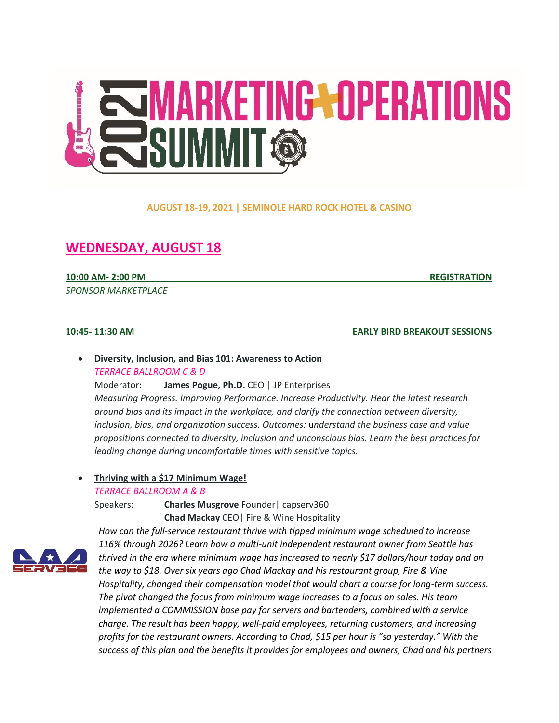

### **AUGUST 18-19, 2021 | SEMINOLE HARD ROCK HOTEL & CASINO**

# **WEDNESDAY, AUGUST 18**

**10:00 AM- 2:00 PM REGISTRATION**

*SPONSOR MARKETPLACE*

**10:45- 11:30 AM EARLY BIRD BREAKOUT SESSIONS**

# • **Diversity, Inclusion, and Bias 101: Awareness to Action** *TERRACE BALLROOM C & D*

Moderator: **James Pogue, Ph.D.** CEO | JP Enterprises *Measuring Progress. Improving Performance. Increase Productivity. Hear the latest research around bias and its impact in the workplace, and clarify the connection between diversity, inclusion, bias, and organization success. Outcomes:* u*nderstand the business case and value propositions connected to diversity, inclusion and unconscious bias. Learn the best practices for leading change during uncomfortable times with sensitive topics.*

# • **Thriving with a \$17 Minimum Wage!**

*TERRACE BALLROOM A & B*

Speakers: **Charles Musgrove** Founder| capserv360 **Chad Mackay** CEO| Fire & Wine Hospitality



*How can the full-service restaurant thrive with tipped minimum wage scheduled to increase 116% through 2026? Learn how a multi-unit independent restaurant owner from Seattle has thrived in the era where minimum wage has increased to nearly \$17 dollars/hour today and on the way to \$18. Over six years ago Chad Mackay and his restaurant group, Fire & Vine Hospitality, changed their compensation model that would chart a course for long-term success. The pivot changed the focus from minimum wage increases to a focus on sales. His team implemented a COMMISSION base pay for servers and bartenders, combined with a service charge. The result has been happy, well-paid employees, returning customers, and increasing profits for the restaurant owners. According to Chad, \$15 per hour is "so yesterday." With the success of this plan and the benefits it provides for employees and owners, Chad and his partners*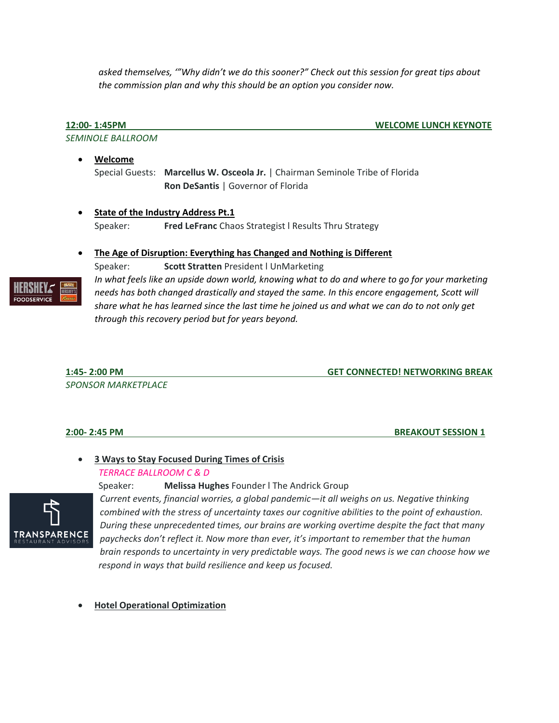*asked themselves, '"Why didn't we do this sooner?" Check out this session for great tips about the commission plan and why this should be an option you consider now.*

**12:00- 1:45PM WELCOME LUNCH KEYNOTE**

*SEMINOLE BALLROOM*

• **Welcome** Special Guests: **Marcellus W. Osceola Jr.** | Chairman Seminole Tribe of Florida **Ron DeSantis** | Governor of Florida

### • **State of the Industry Address Pt.1**

Speaker: **Fred LeFranc** Chaos Strategist l Results Thru Strategy

### • **The Age of Disruption: Everything has Changed and Nothing is Different**

Speaker: **Scott Stratten** President l UnMarketing



*In what feels like an upside down world, knowing what to do and where to go for your marketing needs has both changed drastically and stayed the same. In this encore engagement, Scott will share what he has learned since the last time he joined us and what we can do to not only get through this recovery period but for years beyond.*

# **1:45- 2:00 PM GET CONNECTED! NETWORKING BREAK**

*SPONSOR MARKETPLACE*

### **2:00- 2:45 PM BREAKOUT SESSION 1**

# • **3 Ways to Stay Focused During Times of Crisis**

### *TERRACE BALLROOM C & D*



Speaker: **Melissa Hughes** Founder l The Andrick Group *Current events, financial worries, a global pandemic—it all weighs on us. Negative thinking combined with the stress of uncertainty taxes our cognitive abilities to the point of exhaustion. During these unprecedented times, our brains are working overtime despite the fact that many paychecks don't reflect it. Now more than ever, it's important to remember that the human brain responds to uncertainty in very predictable ways. The good news is we can choose how we respond in ways that build resilience and keep us focused.*

### • **Hotel Operational Optimization**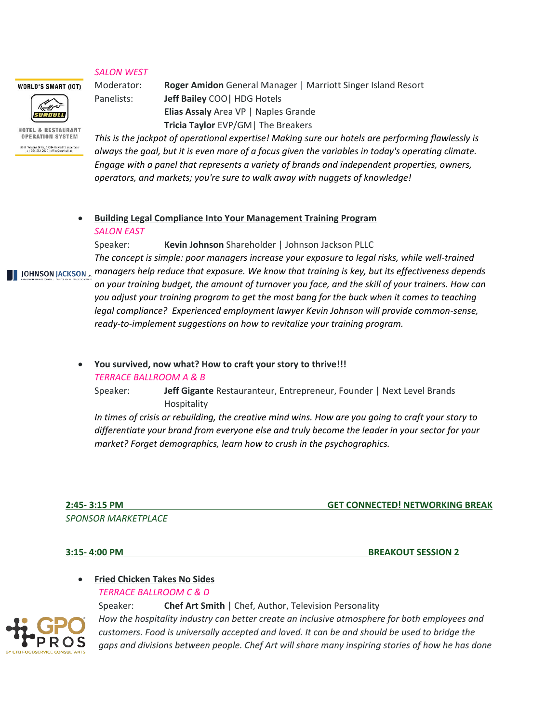### *SALON WEST*

Moderator: **Roger Amidon** General Manager | Marriott Singer Island Resort Panelists: **Jeff Bailey** COO| HDG Hotels **Elias Assaly** Area VP | Naples Grande **Tricia Taylor** EVP/GM| The Breakers

HOTEL & RESTAURANT **OPERATION SYSTEM** 

CUNRULL

**WORLD'S SMART (IOT)** 

.<br>1961 Toscana Drive, 33314 Davie/Ft Lauderdak<br>+1 954 254 7020 | office@sunbull.cc

*This is the jackpot of operational expertise! Making sure our hotels are performing flawlessly is always the goal, but it is even more of a focus given the variables in today's operating climate. Engage with a panel that represents a variety of brands and independent properties, owners, operators, and markets; you're sure to walk away with nuggets of knowledge!*

# • **Building Legal Compliance Into Your Management Training Program** *SALON EAST*

Speaker: **Kevin Johnson** Shareholder | Johnson Jackson PLLC

*The concept is simple: poor managers increase your exposure to legal risks, while well-trained managers help reduce that exposure. We know that training is key, but its effectiveness depends*  JOHNSON JACKSON ... *on your training budget, the amount of turnover you face, and the skill of your trainers. How can you adjust your training program to get the most bang for the buck when it comes to teaching legal compliance? Experienced employment lawyer Kevin Johnson will provide common-sense, ready-to-implement suggestions on how to revitalize your training program.*

• **You survived, now what? How to craft your story to thrive!!!**

### *TERRACE BALLROOM A & B*

Speaker: **Jeff Gigante** Restauranteur, Entrepreneur, Founder | Next Level Brands Hospitality

*In times of crisis or rebuilding, the creative mind wins. How are you going to craft your story to differentiate your brand from everyone else and truly become the leader in your sector for your market? Forget demographics, learn how to crush in the psychographics.*

*SPONSOR MARKETPLACE*

**2:45- 3:15 PM GET CONNECTED! NETWORKING BREAK**

**3:15- 4:00 PM BREAKOUT SESSION 2**

# • **Fried Chicken Takes No Sides**

*TERRACE BALLROOM C & D*



Speaker: **Chef Art Smith** | Chef, Author, Television Personality *How the hospitality industry can better create an inclusive atmosphere for both employees and customers. Food is universally accepted and loved. It can be and should be used to bridge the gaps and divisions between people. Chef Art will share many inspiring stories of how he has done*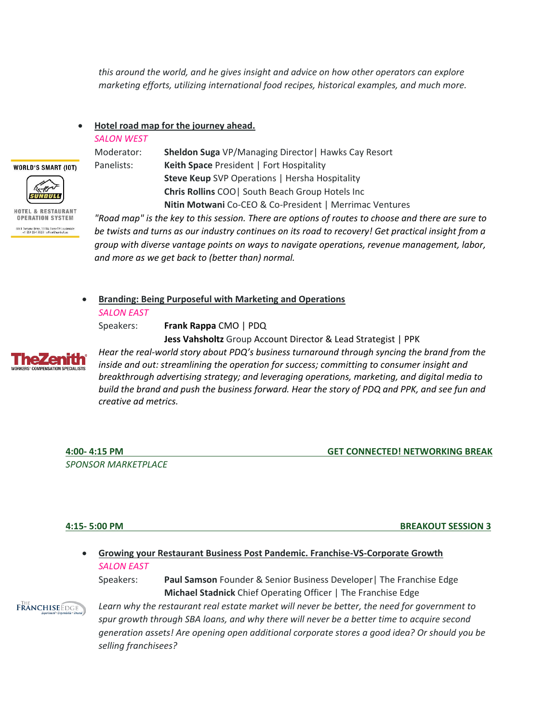*this around the world, and he gives insight and advice on how other operators can explore marketing efforts, utilizing international food recipes, historical examples, and much more.* 

• **Hotel road map for the journey ahead.** 

### *SALON WEST*



Moderator: **Sheldon Suga** VP/Managing Director| Hawks Cay Resort Panelists: **Keith Space** President | Fort Hospitality **Steve Keup** SVP Operations | Hersha Hospitality **Chris Rollins** COO| South Beach Group Hotels Inc **Nitin Motwani** Co-CEO & Co-President | Merrimac Ventures

HOTEL & RESTAURANT **OPERATION SYSTEM** Toscana Drive, 33314 Davie/Ft Laudero<br>+1 954 254 7020 | office@sunbull.co

*"Road map" is the key to this session. There are options of routes to choose and there are sure to be twists and turns as our industry continues on its road to recovery! Get practical insight from a group with diverse vantage points on ways to navigate operations, revenue management, labor, and more as we get back to (better than) normal.* 

• **Branding: Being Purposeful with Marketing and Operations**

*SALON EAST* 

Speakers: **Frank Rappa** CMO | PDQ

**Jess Vahsholtz** Group Account Director & Lead Strategist | PPK



*Hear the real-world story about PDQ's business turnaround through syncing the brand from the inside and out: streamlining the operation for success; committing to consumer insight and breakthrough advertising strategy; and leveraging operations, marketing, and digital media to build the brand and push the business forward. Hear the story of PDQ and PPK, and see fun and creative ad metrics.*

*SPONSOR MARKETPLACE*

**4:00- 4:15 PM GET CONNECTED! NETWORKING BREAK**

**4:15- 5:00 PM BREAKOUT SESSION 3**

# • **Growing your Restaurant Business Post Pandemic. Franchise-VS-Corporate Growth**  *SALON EAST*

Speakers: **Paul Samson** Founder & Senior Business Developer| The Franchise Edge **Michael Stadnick** Chief Operating Officer | The Franchise Edge

**FRANCHISEEDGE** 

*Learn why the restaurant real estate market will never be better, the need for government to spur growth through SBA loans, and why there will never be a better time to acquire second generation assets! Are opening open additional corporate stores a good idea? Or should you be selling franchisees?*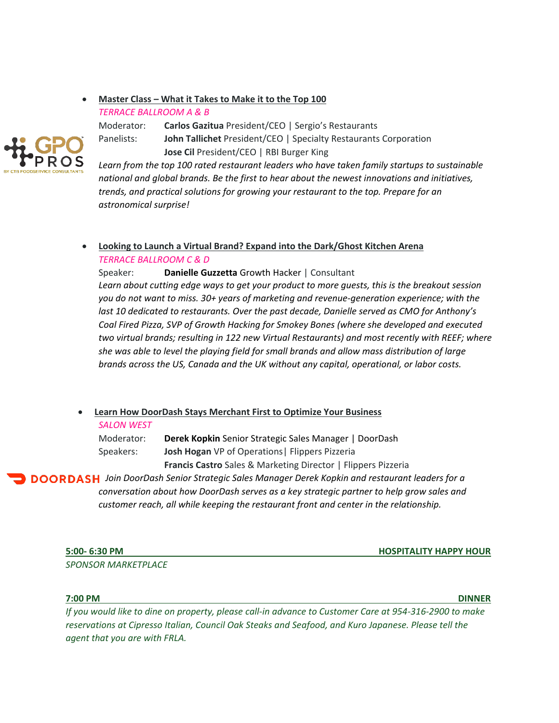### • **Master Class – What it Takes to Make it to the Top 100**

*TERRACE BALLROOM A & B*

Moderator: **Carlos Gazitua** President/CEO | Sergio's Restaurants Panelists: **John Tallichet** President/CEO | Specialty Restaurants Corporation **Jose Cil** President/CEO | RBI Burger King



*Learn from the top 100 rated restaurant leaders who have taken family startups to sustainable national and global brands. Be the first to hear about the newest innovations and initiatives, trends, and practical solutions for growing your restaurant to the top. Prepare for an astronomical surprise!*

# • **Looking to Launch a Virtual Brand? Expand into the Dark/Ghost Kitchen Arena** *TERRACE BALLROOM C & D*

Speaker: **Danielle Guzzetta** Growth Hacker | Consultant *Learn about cutting edge ways to get your product to more guests, this is the breakout session you do not want to miss. 30+ years of marketing and revenue-generation experience; with the last 10 dedicated to restaurants. Over the past decade, Danielle served as CMO for Anthony's Coal Fired Pizza, SVP of Growth Hacking for Smokey Bones (where she developed and executed two virtual brands; resulting in 122 new Virtual Restaurants) and most recently with REEF; where she was able to level the playing field for small brands and allow mass distribution of large brands across the US, Canada and the UK without any capital, operational, or labor costs.*

# • **Learn How DoorDash Stays Merchant First to Optimize Your Business**

### *SALON WEST*

Moderator: **Derek Kopkin** Senior Strategic Sales Manager | DoorDash Speakers: **Josh Hogan** VP of Operations| Flippers Pizzeria **Francis Castro** Sales & Marketing Director | Flippers Pizzeria

*Join DoorDash Senior Strategic Sales Manager Derek Kopkin and restaurant leaders for a conversation about how DoorDash serves as a key strategic partner to help grow sales and customer reach, all while keeping the restaurant front and center in the relationship.*

*SPONSOR MARKETPLACE*

**5:00- 6:30 PM HOSPITALITY HAPPY HOUR**

**7:00 PM DINNER** 

*If you would like to dine on property, please call-in advance to Customer Care at 954-316-2900 to make reservations at Cipresso Italian, Council Oak Steaks and Seafood, and Kuro Japanese. Please tell the agent that you are with FRLA.*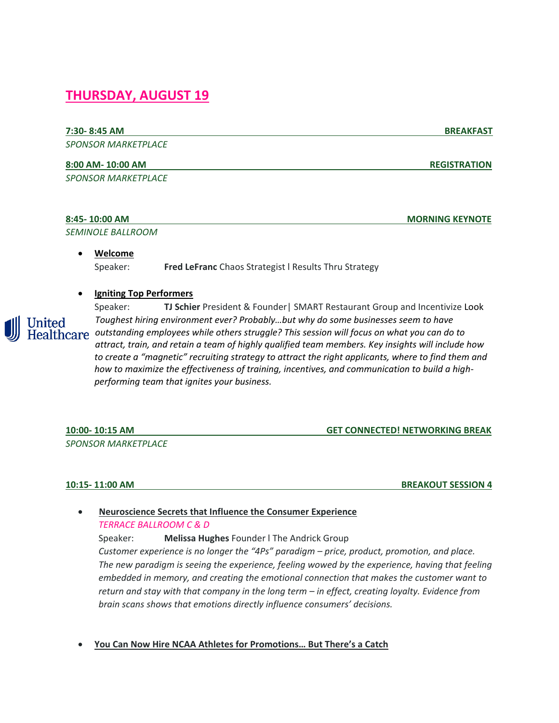# **THURSDAY, AUGUST 19**

# **7:30- 8:45 AM BREAKFAST**

*SPONSOR MARKETPLACE*

### **8:00 AM- 10:00 AM REGISTRATION**

*SPONSOR MARKETPLACE*

| 8:45-10:00 AM            | <b>MORNING KEYNOTE</b> |
|--------------------------|------------------------|
| <i>SEMINOLE BALLROOM</i> |                        |

• **Welcome** Speaker: **Fred LeFranc** Chaos Strategist l Results Thru Strategy

## • **Igniting Top Performers**



Speaker: **TJ Schier** President & Founder| SMART Restaurant Group and Incentivize Look *Toughest hiring environment ever? Probably…but why do some businesses seem to have outstanding employees while others struggle? This session will focus on what you can do to attract, train, and retain a team of highly qualified team members. Key insights will include how to create a "magnetic" recruiting strategy to attract the right applicants, where to find them and how to maximize the effectiveness of training, incentives, and communication to build a highperforming team that ignites your business.*

**10:00- 10:15 AM GET CONNECTED! NETWORKING BREAK** *SPONSOR MARKETPLACE*

**10:15- 11:00 AM BREAKOUT SESSION 4**

• **Neuroscience Secrets that Influence the Consumer Experience** *TERRACE BALLROOM C & D*

Speaker: **Melissa Hughes** Founder l The Andrick Group *Customer experience is no longer the "4Ps" paradigm – price, product, promotion, and place. The new paradigm is seeing the experience, feeling wowed by the experience, having that feeling embedded in memory, and creating the emotional connection that makes the customer want to return and stay with that company in the long term – in effect, creating loyalty. Evidence from brain scans shows that emotions directly influence consumers' decisions.*

• **You Can Now Hire NCAA Athletes for Promotions… But There's a Catch**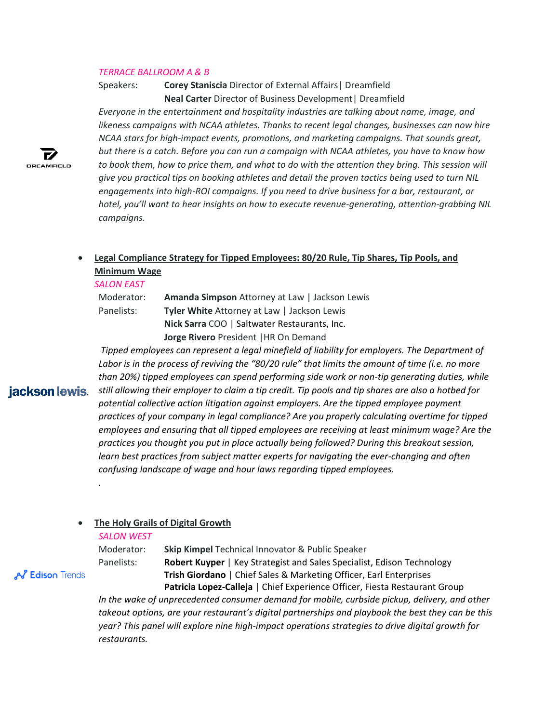### *TERRACE BALLROOM A & B*

Speakers: **Corey Staniscia** Director of External Affairs| Dreamfield **Neal Carter** Director of Business Development| Dreamfield

*Everyone in the entertainment and hospitality industries are talking about name, image, and likeness campaigns with NCAA athletes. Thanks to recent legal changes, businesses can now hire NCAA stars for high-impact events, promotions, and marketing campaigns. That sounds great, but there is a catch. Before you can run a campaign with NCAA athletes, you have to know how to book them, how to price them, and what to do with the attention they bring. This session will give you practical tips on booking athletes and detail the proven tactics being used to turn NIL engagements into high-ROI campaigns. If you need to drive business for a bar, restaurant, or hotel, you'll want to hear insights on how to execute revenue-generating, attention-grabbing NIL campaigns.*

# • **Legal Compliance Strategy for Tipped Employees: 80/20 Rule, Tip Shares, Tip Pools, and Minimum Wage**

### *SALON EAST*

| Moderator: | Amanda Simpson Attorney at Law   Jackson Lewis |
|------------|------------------------------------------------|
| Panelists: | Tyler White Attorney at Law   Jackson Lewis    |
|            | Nick Sarra COO   Saltwater Restaurants, Inc.   |
|            | Jorge Rivero President   HR On Demand          |

*Tipped employees can represent a legal minefield of liability for employers. The Department of Labor is in the process of reviving the "80/20 rule" that limits the amount of time (i.e. no more than 20%) tipped employees can spend performing side work or non-tip generating duties, while*  jackson lewis. *still allowing their employer to claim a tip credit. Tip pools and tip shares are also a hotbed for potential collective action litigation against employers. Are the tipped employee payment practices of your company in legal compliance? Are you properly calculating overtime for tipped employees and ensuring that all tipped employees are receiving at least minimum wage? Are the practices you thought you put in place actually being followed? During this breakout session, learn best practices from subject matter experts for navigating the ever-changing and often confusing landscape of wage and hour laws regarding tipped employees.* 

### • **The Holy Grails of Digital Growth**

### *SALON WEST*

*.* 

**AS** Edison Trends

Moderator: **Skip Kimpel** Technical Innovator & Public Speaker Panelists: **Robert Kuyper** | Key Strategist and Sales Specialist, Edison Technology **Trish Giordano** | Chief Sales & Marketing Officer, Earl Enterprises **Patricia Lopez-Calleja** | Chief Experience Officer, Fiesta Restaurant Group

*In the wake of unprecedented consumer demand for mobile, curbside pickup, delivery, and other takeout options, are your restaurant's digital partnerships and playbook the best they can be this year? This panel will explore nine high-impact operations strategies to drive digital growth for restaurants.*

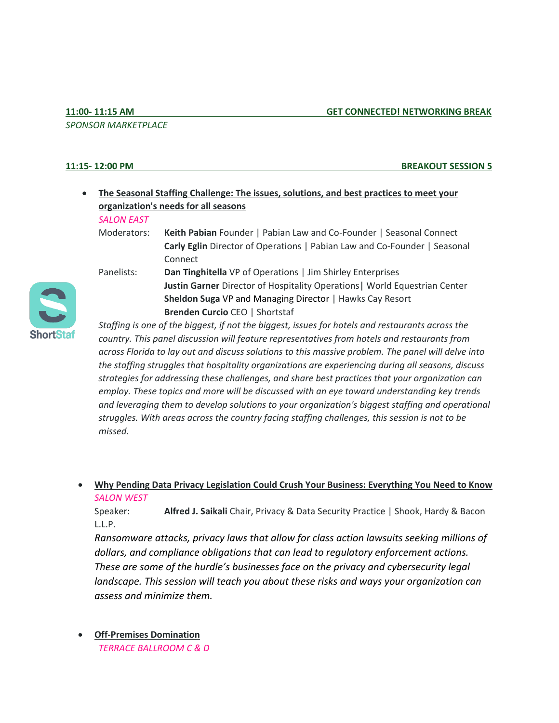## *SPONSOR MARKETPLACE*

### **11:15- 12:00 PM BREAKOUT SESSION 5**

# • **The Seasonal Staffing Challenge: The issues, solutions, and best practices to meet your organization's needs for all seasons**

### *SALON EAST*

Moderators: **Keith Pabian** Founder | Pabian Law and Co-Founder | Seasonal Connect **Carly Eglin** Director of Operations | Pabian Law and Co-Founder | Seasonal Connect

**Sheldon Suga** VP and Managing Director | Hawks Cay Resort

**Brenden Curcio** CEO | Shortstaf

**Justin Garner** Director of Hospitality Operations| World Equestrian Center

Panelists: **Dan Tinghitella** VP of Operations | Jim Shirley Enterprises



*Staffing is one of the biggest, if not the biggest, issues for hotels and restaurants across the country. This panel discussion will feature representatives from hotels and restaurants from across Florida to lay out and discuss solutions to this massive problem. The panel will delve into the staffing struggles that hospitality organizations are experiencing during all seasons, discuss strategies for addressing these challenges, and share best practices that your organization can employ. These topics and more will be discussed with an eye toward understanding key trends and leveraging them to develop solutions to your organization's biggest staffing and operational struggles. With areas across the country facing staffing challenges, this session is not to be missed.*

• **Why Pending Data Privacy Legislation Could Crush Your Business: Everything You Need to Know** *SALON WEST*

Speaker: **Alfred J. Saikali** Chair, Privacy & Data Security Practice | Shook, Hardy & Bacon L.L.P.

*Ransomware attacks, privacy laws that allow for class action lawsuits seeking millions of dollars, and compliance obligations that can lead to regulatory enforcement actions. These are some of the hurdle's businesses face on the privacy and cybersecurity legal landscape. This session will teach you about these risks and ways your organization can assess and minimize them.*

• **Off-Premises Domination**  *TERRACE BALLROOM C & D*